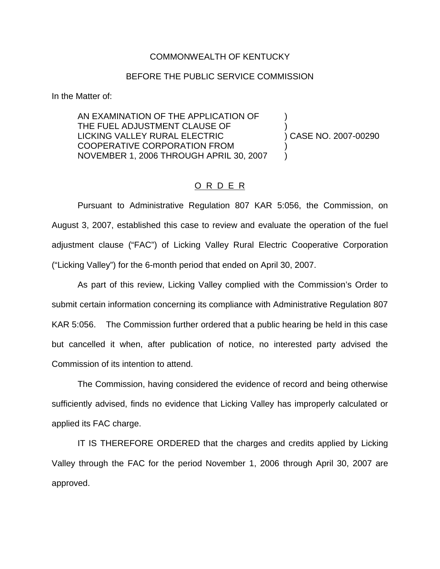## COMMONWEALTH OF KENTUCKY

## BEFORE THE PUBLIC SERVICE COMMISSION

In the Matter of:

AN EXAMINATION OF THE APPLICATION OF ) THE FUEL ADJUSTMENT CLAUSE OF LICKING VALLEY RURAL ELECTRIC ) CASE NO. 2007-00290 COOPERATIVE CORPORATION FROM ) NOVEMBER 1, 2006 THROUGH APRIL 30, 2007 )

## O R D E R

Pursuant to Administrative Regulation 807 KAR 5:056, the Commission, on August 3, 2007, established this case to review and evaluate the operation of the fuel adjustment clause ("FAC") of Licking Valley Rural Electric Cooperative Corporation ("Licking Valley") for the 6-month period that ended on April 30, 2007.

As part of this review, Licking Valley complied with the Commission's Order to submit certain information concerning its compliance with Administrative Regulation 807 KAR 5:056. The Commission further ordered that a public hearing be held in this case but cancelled it when, after publication of notice, no interested party advised the Commission of its intention to attend.

The Commission, having considered the evidence of record and being otherwise sufficiently advised, finds no evidence that Licking Valley has improperly calculated or applied its FAC charge.

IT IS THEREFORE ORDERED that the charges and credits applied by Licking Valley through the FAC for the period November 1, 2006 through April 30, 2007 are approved.